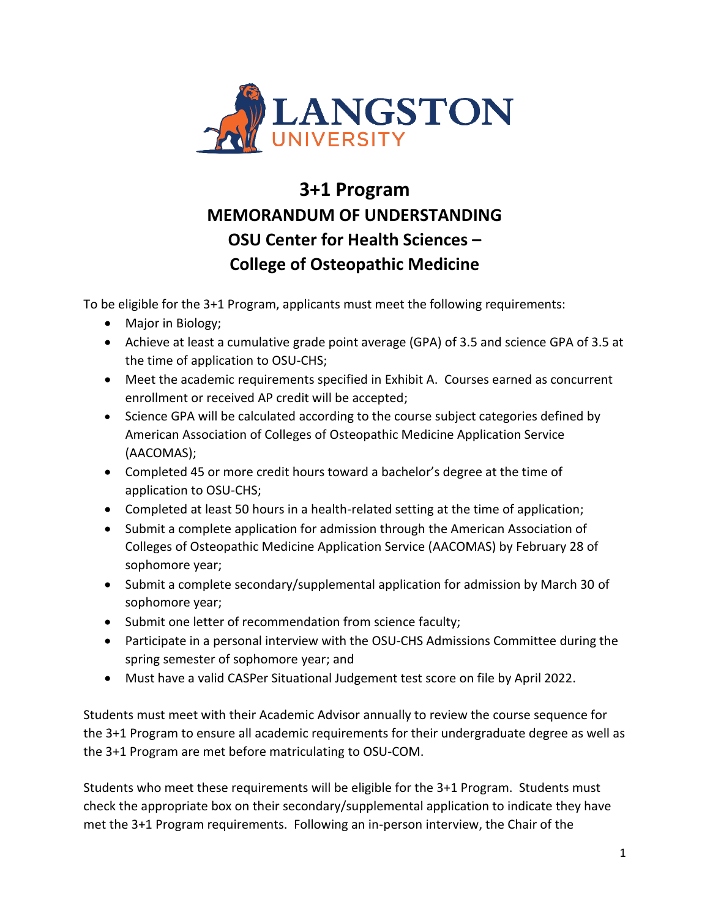

## **3+1 Program MEMORANDUM OF UNDERSTANDING OSU Center for Health Sciences – College of Osteopathic Medicine**

To be eligible for the 3+1 Program, applicants must meet the following requirements:

- Major in Biology;
- Achieve at least a cumulative grade point average (GPA) of 3.5 and science GPA of 3.5 at the time of application to OSU-CHS;
- Meet the academic requirements specified in Exhibit A. Courses earned as concurrent enrollment or received AP credit will be accepted;
- Science GPA will be calculated according to the course subject categories defined by American Association of Colleges of Osteopathic Medicine Application Service (AACOMAS);
- Completed 45 or more credit hours toward a bachelor's degree at the time of application to OSU-CHS;
- Completed at least 50 hours in a health-related setting at the time of application;
- Submit a complete application for admission through the American Association of Colleges of Osteopathic Medicine Application Service (AACOMAS) by February 28 of sophomore year;
- Submit a complete secondary/supplemental application for admission by March 30 of sophomore year;
- Submit one letter of recommendation from science faculty;
- Participate in a personal interview with the OSU-CHS Admissions Committee during the spring semester of sophomore year; and
- Must have a valid CASPer Situational Judgement test score on file by April 2022.

Students must meet with their Academic Advisor annually to review the course sequence for the 3+1 Program to ensure all academic requirements for their undergraduate degree as well as the 3+1 Program are met before matriculating to OSU-COM.

Students who meet these requirements will be eligible for the 3+1 Program. Students must check the appropriate box on their secondary/supplemental application to indicate they have met the 3+1 Program requirements. Following an in-person interview, the Chair of the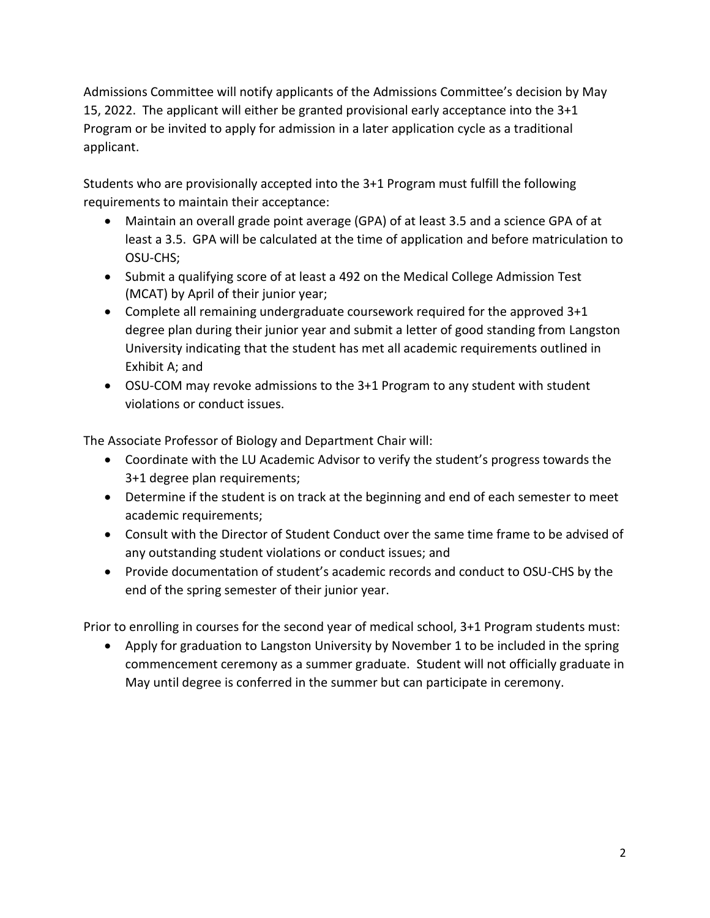Admissions Committee will notify applicants of the Admissions Committee's decision by May 15, 2022. The applicant will either be granted provisional early acceptance into the 3+1 Program or be invited to apply for admission in a later application cycle as a traditional applicant.

Students who are provisionally accepted into the 3+1 Program must fulfill the following requirements to maintain their acceptance:

- Maintain an overall grade point average (GPA) of at least 3.5 and a science GPA of at least a 3.5. GPA will be calculated at the time of application and before matriculation to OSU-CHS;
- Submit a qualifying score of at least a 492 on the Medical College Admission Test (MCAT) by April of their junior year;
- Complete all remaining undergraduate coursework required for the approved 3+1 degree plan during their junior year and submit a letter of good standing from Langston University indicating that the student has met all academic requirements outlined in Exhibit A; and
- OSU-COM may revoke admissions to the 3+1 Program to any student with student violations or conduct issues.

The Associate Professor of Biology and Department Chair will:

- Coordinate with the LU Academic Advisor to verify the student's progress towards the 3+1 degree plan requirements;
- Determine if the student is on track at the beginning and end of each semester to meet academic requirements;
- Consult with the Director of Student Conduct over the same time frame to be advised of any outstanding student violations or conduct issues; and
- Provide documentation of student's academic records and conduct to OSU-CHS by the end of the spring semester of their junior year.

Prior to enrolling in courses for the second year of medical school, 3+1 Program students must:

• Apply for graduation to Langston University by November 1 to be included in the spring commencement ceremony as a summer graduate. Student will not officially graduate in May until degree is conferred in the summer but can participate in ceremony.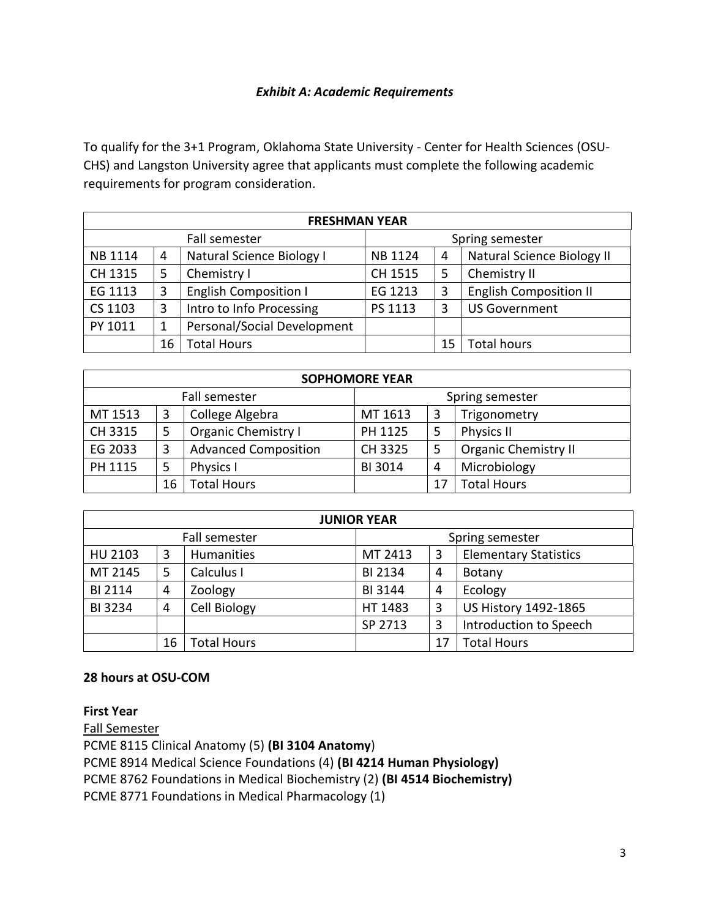## *Exhibit A: Academic Requirements*

To qualify for the 3+1 Program, Oklahoma State University - Center for Health Sciences (OSU-CHS) and Langston University agree that applicants must complete the following academic requirements for program consideration.

| <b>FRESHMAN YEAR</b> |    |                              |                 |    |                               |  |  |  |
|----------------------|----|------------------------------|-----------------|----|-------------------------------|--|--|--|
| Fall semester        |    |                              | Spring semester |    |                               |  |  |  |
| <b>NB 1114</b>       | 4  | Natural Science Biology I    | <b>NB1124</b>   | 4  | Natural Science Biology II    |  |  |  |
| CH 1315              | 5  | Chemistry I                  | CH 1515         | 5  | Chemistry II                  |  |  |  |
| EG 1113              | 3  | <b>English Composition I</b> | EG 1213         | 3  | <b>English Composition II</b> |  |  |  |
| CS 1103              | 3  | Intro to Info Processing     | PS 1113         | 3  | <b>US Government</b>          |  |  |  |
| PY 1011              |    | Personal/Social Development  |                 |    |                               |  |  |  |
|                      | 16 | <b>Total Hours</b>           |                 | 15 | <b>Total hours</b>            |  |  |  |

| <b>SOPHOMORE YEAR</b> |    |                             |                 |    |                             |  |  |  |  |
|-----------------------|----|-----------------------------|-----------------|----|-----------------------------|--|--|--|--|
| Fall semester         |    |                             | Spring semester |    |                             |  |  |  |  |
| MT 1513               | 3  | College Algebra             | MT 1613         | 3  | Trigonometry                |  |  |  |  |
| CH 3315               | 5  | <b>Organic Chemistry I</b>  | PH 1125         | 5  | Physics II                  |  |  |  |  |
| EG 2033               | 3  | <b>Advanced Composition</b> | CH 3325         | 5  | <b>Organic Chemistry II</b> |  |  |  |  |
| PH 1115               | 5  | <b>Physics I</b>            | BI 3014         | 4  | Microbiology                |  |  |  |  |
|                       | 16 | <b>Total Hours</b>          |                 | 17 | <b>Total Hours</b>          |  |  |  |  |

| <b>JUNIOR YEAR</b> |    |                    |                 |    |                              |  |  |  |
|--------------------|----|--------------------|-----------------|----|------------------------------|--|--|--|
| Fall semester      |    |                    | Spring semester |    |                              |  |  |  |
| HU 2103            | 3  | Humanities         | MT 2413         | 3  | <b>Elementary Statistics</b> |  |  |  |
| MT 2145            | 5  | Calculus I         | BI 2134         | 4  | <b>Botany</b>                |  |  |  |
| BI 2114            | 4  | Zoology            | <b>BI3144</b>   | 4  | Ecology                      |  |  |  |
| BI 3234            | 4  | Cell Biology       | HT 1483         | 3  | US History 1492-1865         |  |  |  |
|                    |    |                    | SP 2713         | 3  | Introduction to Speech       |  |  |  |
|                    | 16 | <b>Total Hours</b> |                 | 17 | <b>Total Hours</b>           |  |  |  |

## **28 hours at OSU-COM**

**First Year** 

Fall Semester

PCME 8115 Clinical Anatomy (5) **(BI 3104 Anatomy**)

PCME 8914 Medical Science Foundations (4) **(BI 4214 Human Physiology)**

PCME 8762 Foundations in Medical Biochemistry (2) **(BI 4514 Biochemistry)**

PCME 8771 Foundations in Medical Pharmacology (1)